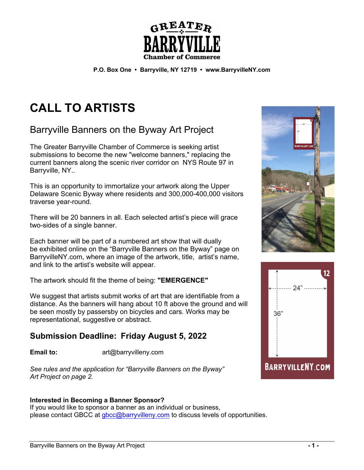

**P.O. Box One • Barryville, NY 12719 • www.BarryvilleNY.com**

# **CALL TO ARTISTS**

Barryville Banners on the Byway Art Project

The Greater Barryville Chamber of Commerce is seeking artist submissions to become the new "welcome banners," replacing the current banners along the scenic river corridor on NYS Route 97 in Barryville, NY..

This is an opportunity to immortalize your artwork along the Upper Delaware Scenic Byway where residents and 300,000-400,000 visitors traverse year-round.

There will be 20 banners in all. Each selected artist's piece will grace two-sides of a single banner.

Each banner will be part of a numbered art show that will dually be exhibited online on the "Barryville Banners on the Byway" page on BarryvilleNY.com, where an image of the artwork, title, artist's name, and link to the artist's website will appear.

The artwork should fit the theme of being: **"EMERGENCE"**

We suggest that artists submit works of art that are identifiable from a distance. As the banners will hang about 10 ft above the ground and will be seen mostly by passersby on bicycles and cars. Works may be representational, suggestive or abstract.

# **Submission Deadline: Friday August 5, 2022**

Email to: art@barryvilleny.com

*See rules and the application for "Barryville Banners on the Byway" Art Project on page 2.*

## **Interested in Becoming a Banner Sponsor?**

If you would like to sponsor a banner as an individual or business, please contact GBCC at gbcc@barryvilleny.com to discuss levels of opportunities.